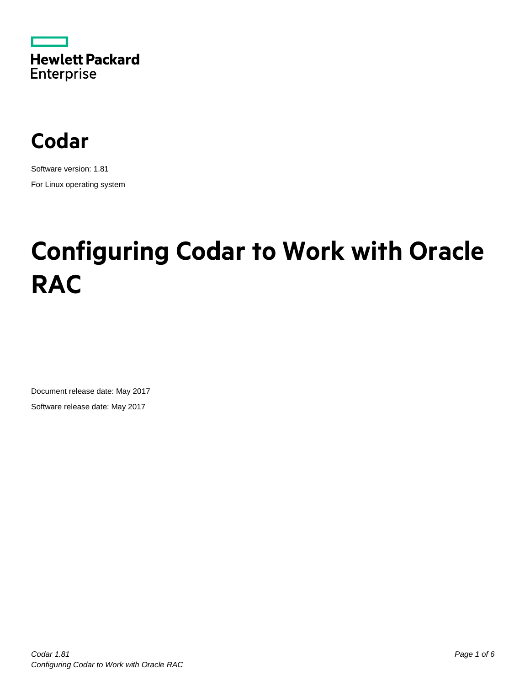



Software version: 1.81 For Linux operating system

# **Configuring Codar to Work with Oracle RAC**

Document release date: May 2017 Software release date: May 2017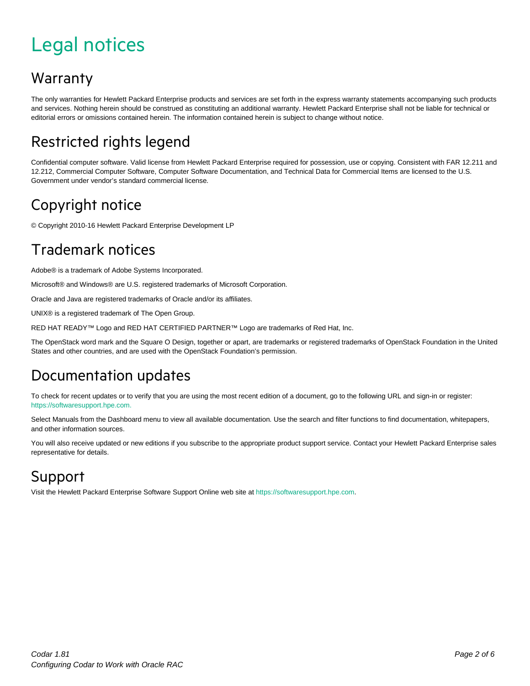## <span id="page-1-0"></span>Legal notices

#### Warranty

The only warranties for Hewlett Packard Enterprise products and services are set forth in the express warranty statements accompanying such products and services. Nothing herein should be construed as constituting an additional warranty. Hewlett Packard Enterprise shall not be liable for technical or editorial errors or omissions contained herein. The information contained herein is subject to change without notice.

#### Restricted rights legend

Confidential computer software. Valid license from Hewlett Packard Enterprise required for possession, use or copying. Consistent with FAR 12.211 and 12.212, Commercial Computer Software, Computer Software Documentation, and Technical Data for Commercial Items are licensed to the U.S. Government under vendor's standard commercial license.

#### Copyright notice

© Copyright 2010-16 Hewlett Packard Enterprise Development LP

#### Trademark notices

Adobe® is a trademark of Adobe Systems Incorporated.

Microsoft® and Windows® are U.S. registered trademarks of Microsoft Corporation.

Oracle and Java are registered trademarks of Oracle and/or its affiliates.

UNIX® is a registered trademark of The Open Group.

RED HAT READY™ Logo and RED HAT CERTIFIED PARTNER™ Logo are trademarks of Red Hat, Inc.

The OpenStack word mark and the Square O Design, together or apart, are trademarks or registered trademarks of OpenStack Foundation in the United States and other countries, and are used with the OpenStack Foundation's permission.

#### Documentation updates

To check for recent updates or to verify that you are using the most recent edition of a document, go to the following URL and sign-in or register: [https://softwaresupport.hpe.com.](https://softwaresupport.hpe.com./)

Select Manuals from the Dashboard menu to view all available documentation. Use the search and filter functions to find documentation, whitepapers, and other information sources.

You will also receive updated or new editions if you subscribe to the appropriate product support service. Contact your Hewlett Packard Enterprise sales representative for details.

#### Support

Visit the Hewlett Packard Enterprise Software Support Online web site a[t https://softwaresupport.hpe.com.](https://softwaresupport.hpe.com/)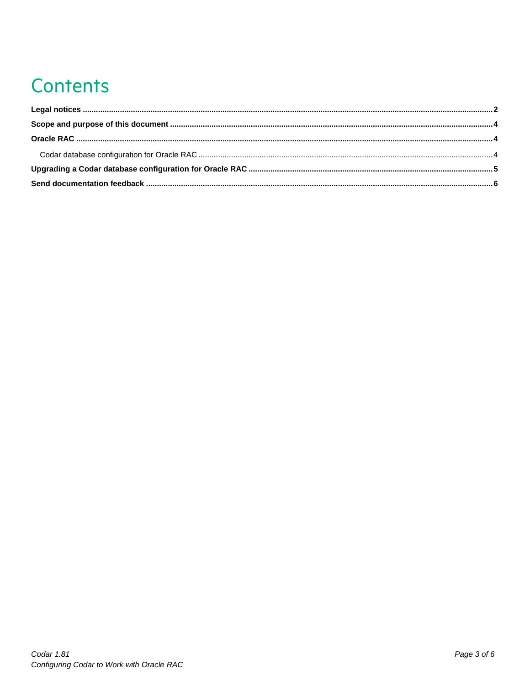# **Contents**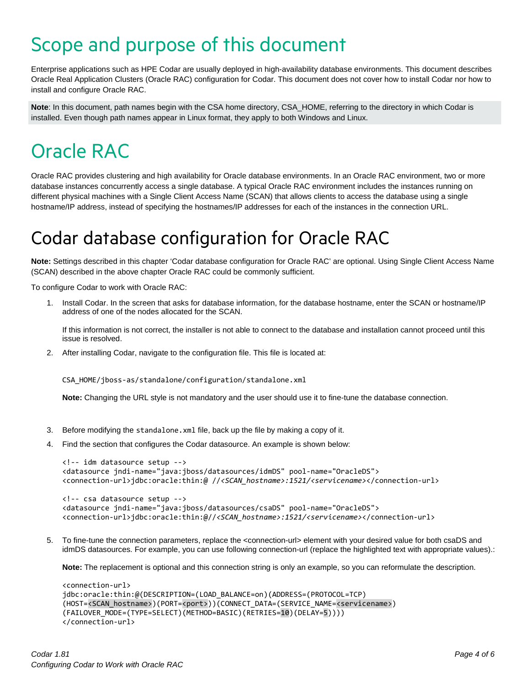### <span id="page-3-0"></span>Scope and purpose of this document

Enterprise applications such as HPE Codar are usually deployed in high-availability database environments. This document describes Oracle Real Application Clusters (Oracle RAC) configuration for Codar. This document does not cover how to install Codar nor how to install and configure Oracle RAC.

**Note**: In this document, path names begin with the CSA home directory, CSA\_HOME, referring to the directory in which Codar is installed. Even though path names appear in Linux format, they apply to both Windows and Linux.

### <span id="page-3-1"></span>Oracle RAC

Oracle RAC provides clustering and high availability for Oracle database environments. In an Oracle RAC environment, two or more database instances concurrently access a single database. A typical Oracle RAC environment includes the instances running on different physical machines with a Single Client Access Name (SCAN) that allows clients to access the database using a single hostname/IP address, instead of specifying the hostnames/IP addresses for each of the instances in the connection URL.

### <span id="page-3-2"></span>Codar database configuration for Oracle RAC

**Note:** Settings described in this chapter 'Codar database configuration for Oracle RAC' are optional. Using Single Client Access Name (SCAN) described in the above chapter Oracle RAC could be commonly sufficient.

To configure Codar to work with Oracle RAC:

1. Install Codar. In the screen that asks for database information, for the database hostname, enter the SCAN or hostname/IP address of one of the nodes allocated for the SCAN.

If this information is not correct, the installer is not able to connect to the database and installation cannot proceed until this issue is resolved.

2. After installing Codar, navigate to the configuration file. This file is located at:

CSA\_HOME/jboss-as/standalone/configuration/standalone.xml

**Note:** Changing the URL style is not mandatory and the user should use it to fine-tune the database connection.

- 3. Before modifying the standalone.xml file, back up the file by making a copy of it.
- 4. Find the section that configures the Codar datasource. An example is shown below:

```
<!-- idm datasource setup -->
<datasource jndi-name="java:jboss/datasources/idmDS" pool-name="OracleDS">
<connection-url>jdbc:oracle:thin:@ //<SCAN_hostname>:1521/<servicename></connection-url>
<!-- csa datasource setup -->
<datasource jndi-name="java:jboss/datasources/csaDS" pool-name="OracleDS">
```
- <connection-url>jdbc:oracle:thin:@//*<SCAN\_hostname>:1521/<servicename>*</connection-url>
- 5. To fine-tune the connection parameters, replace the <connection-url> element with your desired value for both csaDS and idmDS datasources. For example, you can use following connection-url (replace the highlighted text with appropriate values).:

**Note:** The replacement is optional and this connection string is only an example, so you can reformulate the description.

```
<connection-url>
jdbc:oracle:thin:@(DESCRIPTION=(LOAD_BALANCE=on)(ADDRESS=(PROTOCOL=TCP)
(HOST=<SCAN_hostname>)(PORT=<port>))(CONNECT_DATA=(SERVICE_NAME=<servicename>)
(FAILOVER_MODE=(TYPE=SELECT)(METHOD=BASIC)(RETRIES=10)(DELAY=5)))) 
</connection-url>
```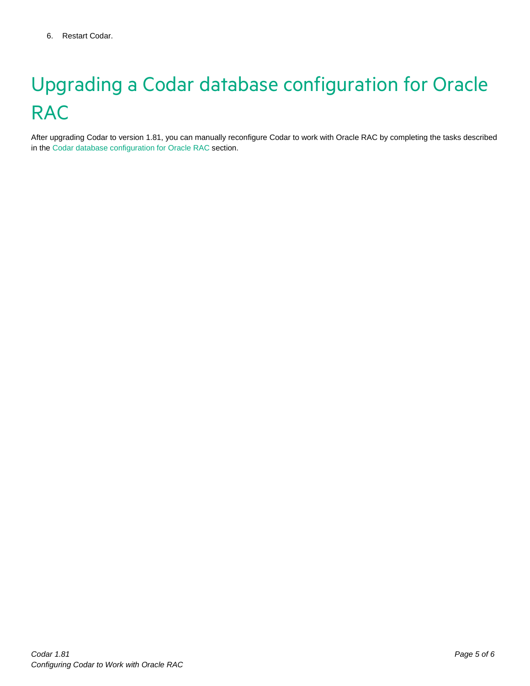# <span id="page-4-0"></span>Upgrading a Codar database configuration for Oracle **RAC**

After upgrading Codar to version 1.81, you can manually reconfigure Codar to work with Oracle RAC by completing the tasks described in th[e Codar database configuration for Oracle RAC](#page-3-2) section.